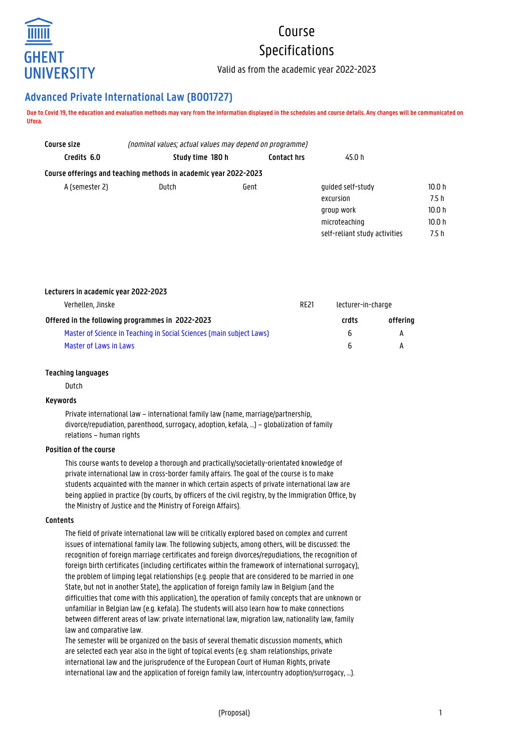

# Course Specifications

Valid as from the academic year 2022-2023

# **Advanced Private International Law (B001727)**

**Due to Covid 19, the education and evaluation methods may vary from the information displayed in the schedules and course details. Any changes will be communicated on Ufora.**

| Course size                                                      | (nominal values; actual values may depend on programme) |                    |                               |                   |  |  |  |  |  |  |
|------------------------------------------------------------------|---------------------------------------------------------|--------------------|-------------------------------|-------------------|--|--|--|--|--|--|
| Credits 6.0                                                      | Study time 180 h                                        | <b>Contact hrs</b> | 45.0 h                        |                   |  |  |  |  |  |  |
| Course offerings and teaching methods in academic year 2022-2023 |                                                         |                    |                               |                   |  |  |  |  |  |  |
| A (semester 2)                                                   | Dutch                                                   | Gent               | quided self-study             | 10.0 h            |  |  |  |  |  |  |
|                                                                  |                                                         |                    | excursion                     | 7.5h              |  |  |  |  |  |  |
|                                                                  |                                                         |                    | group work                    | 10.0 h            |  |  |  |  |  |  |
|                                                                  |                                                         |                    | microteaching                 | 10.0 <sub>h</sub> |  |  |  |  |  |  |
|                                                                  |                                                         |                    | self-reliant study activities | 7.5 h             |  |  |  |  |  |  |

|  |  |  |  | Lecturers in academic year 2022-2023 |
|--|--|--|--|--------------------------------------|
|--|--|--|--|--------------------------------------|

| Verhellen, Jinske                                                    |  | lecturer-in-charge |          |
|----------------------------------------------------------------------|--|--------------------|----------|
| Offered in the following programmes in 2022-2023                     |  | crdts              | offering |
| Master of Science in Teaching in Social Sciences (main subject Laws) |  | h                  | A        |
| Master of Laws in Laws                                               |  | <b>b</b>           |          |

# **Teaching languages**

Dutch

# **Keywords**

Private international law – international family law (name, marriage/partnership, divorce/repudiation, parenthood, surrogacy, adoption, kefala, …) – globalization of family relations – human rights

#### **Position of the course**

This course wants to develop a thorough and practically/societally-orientated knowledge of private international law in cross-border family affairs. The goal of the course is to make students acquainted with the manner in which certain aspects of private international law are being applied in practice (by courts, by officers of the civil registry, by the Immigration Office, by the Ministry of Justice and the Ministry of Foreign Affairs).

#### **Contents**

The field of private international law will be critically explored based on complex and current issues of international family law. The following subjects, among others, will be discussed: the recognition of foreign marriage certificates and foreign divorces/repudiations, the recognition of foreign birth certificates (including certificates within the framework of international surrogacy), the problem of limping legal relationships (e.g. people that are considered to be married in one State, but not in another State), the application of foreign family law in Belgium (and the difficulties that come with this application), the operation of family concepts that are unknown or unfamiliar in Belgian law (e.g. kefala). The students will also learn how to make connections between different areas of law: private international law, migration law, nationality law, family law and comparative law.

The semester will be organized on the basis of several thematic discussion moments, which are selected each year also in the light of topical events (e.g. sham relationships, private international law and the jurisprudence of the European Court of Human Rights, private international law and the application of foreign family law, intercountry adoption/surrogacy, ...).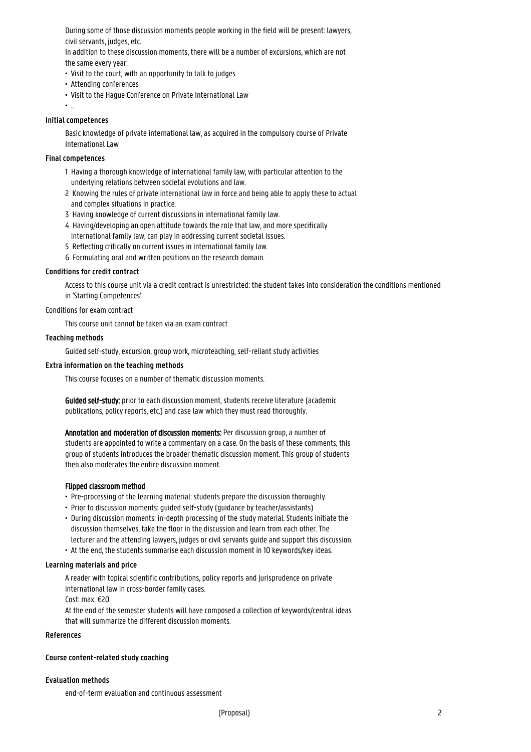During some of those discussion moments people working in the field will be present: lawyers, civil servants, judges, etc.

In addition to these discussion moments, there will be a number of excursions, which are not the same every year:

- Visit to the court, with an opportunity to talk to judges
- Attending conferences
- Visit to the Hague Conference on Private International Law
- ...

#### **Initial competences**

Basic knowledge of private international law, as acquired in the compulsory course of Private International Law

# **Final competences**

- 1 Having a thorough knowledge of international family law, with particular attention to the 1 underlying relations between societal evolutions and law.
- 2 Knowing the rules of private international law in force and being able to apply these to actual and complex situations in practice.
- 3 Having knowledge of current discussions in international family law.
- 4 Having/developing an open attitude towards the role that law, and more specifically international family law, can play in addressing current societal issues.
- 5 Reflecting critically on current issues in international family law.
- 6 Formulating oral and written positions on the research domain.

# **Conditions for credit contract**

Access to this course unit via a credit contract is unrestricted: the student takes into consideration the conditions mentioned in 'Starting Competences'

# Conditions for exam contract

This course unit cannot be taken via an exam contract

# **Teaching methods**

Guided self-study, excursion, group work, microteaching, self-reliant study activities

# **Extra information on the teaching methods**

This course focuses on a number of thematic discussion moments.

Guided self-study: prior to each discussion moment, students receive literature (academic publications, policy reports, etc.) and case law which they must read thoroughly.

Annotation and moderation of discussion moments: Per discussion group, a number of students are appointed to write a commentary on a case. On the basis of these comments, this group of students introduces the broader thematic discussion moment. This group of students then also moderates the entire discussion moment.

#### Flipped classroom method

- Pre-processing of the learning material: students prepare the discussion thoroughly.
- Prior to discussion moments: guided self-study (guidance by teacher/assistants)
- During discussion moments: in-depth processing of the study material. Students initiate the • discussion themselves, take the floor in the discussion and learn from each other. The • lecturer and the attending lawyers, judges or civil servants guide and support this discussion. • At the end, the students summarise each discussion moment in 10 keywords/key ideas.

#### **Learning materials and price**

A reader with topical scientific contributions, policy reports and jurisprudence on private international law in cross-border family cases.

Cost: max. €20

At the end of the semester students will have composed a collection of keywords/central ideas that will summarize the different discussion moments.

#### **References**

#### **Course content-related study coaching**

# **Evaluation methods**

end-of-term evaluation and continuous assessment